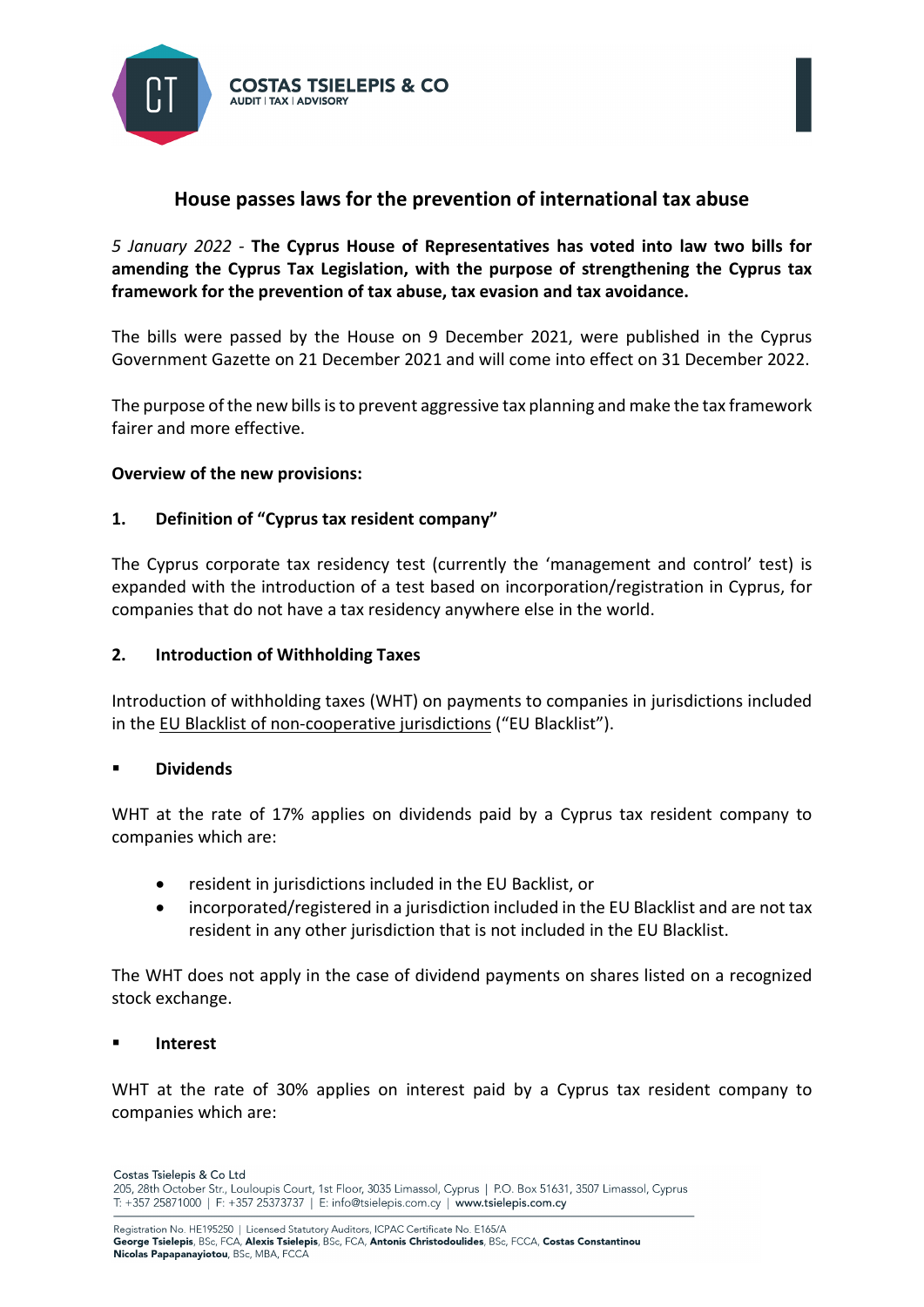

# **House passes laws for the prevention of international tax abuse**

*5 January 2022 -* **The Cyprus House of Representatives has voted into law two bills for amending the Cyprus Tax Legislation, with the purpose of strengthening the Cyprus tax framework for the prevention of tax abuse, tax evasion and tax avoidance.** 

The bills were passed by the House on 9 December 2021, were published in the Cyprus Government Gazette on 21 December 2021 and will come into effect on 31 December 2022.

The purpose of the new bills is to prevent aggressive tax planning and make the tax framework fairer and more effective.

## **Overview of the new provisions:**

## **1. Definition of "Cyprus tax resident company"**

The Cyprus corporate tax residency test (currently the 'management and control' test) is expanded with the introduction of a test based on incorporation/registration in Cyprus, for companies that do not have a tax residency anywhere else in the world.

#### **2. Introduction of Withholding Taxes**

Introduction of withholding taxes (WHT) on payments to companies in jurisdictions included in the [EU Blacklist of non-cooperative jurisdictions](https://www.consilium.europa.eu/en/policies/eu-list-of-non-cooperative-jurisdictions/) ("EU Blacklist").

#### **Dividends**

WHT at the rate of 17% applies on dividends paid by a Cyprus tax resident company to companies which are:

- resident in jurisdictions included in the EU Backlist, or
- incorporated/registered in a jurisdiction included in the EU Blacklist and are not tax resident in any other jurisdiction that is not included in the EU Blacklist.

The WHT does not apply in the case of dividend payments on shares listed on a recognized stock exchange.

#### **Interest**

WHT at the rate of 30% applies on interest paid by a Cyprus tax resident company to companies which are: